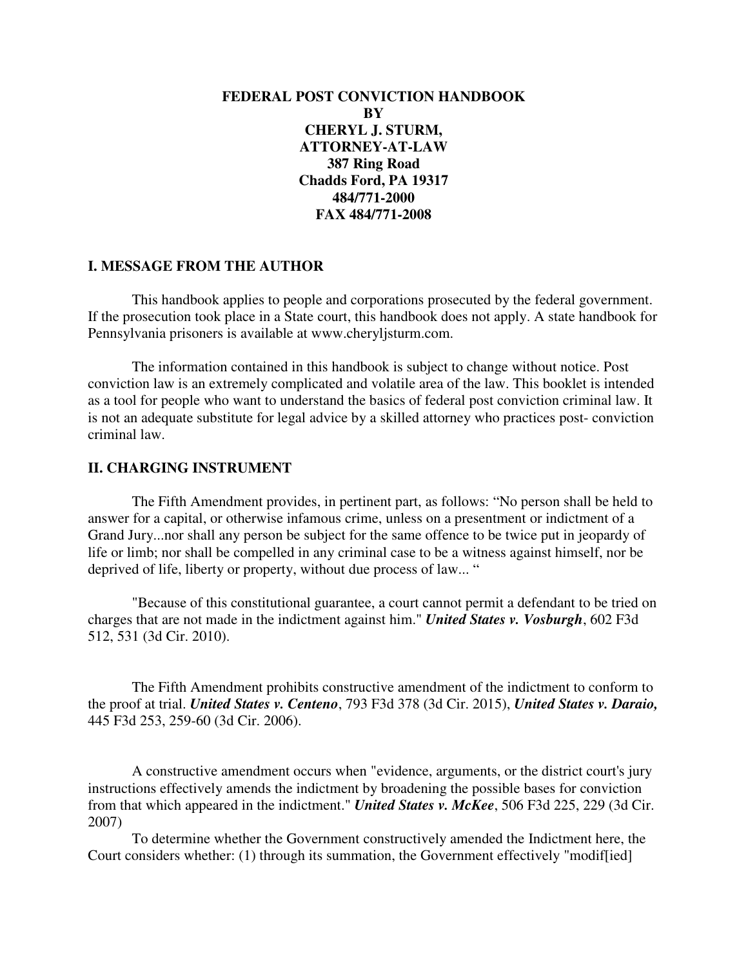**FEDERAL POST CONVICTION HANDBOOK BY CHERYL J. STURM, ATTORNEY-AT-LAW 387 Ring Road Chadds Ford, PA 19317 484/771-2000 FAX 484/771-2008** 

#### **I. MESSAGE FROM THE AUTHOR**

 This handbook applies to people and corporations prosecuted by the federal government. If the prosecution took place in a State court, this handbook does not apply. A state handbook for Pennsylvania prisoners is available at www.cheryljsturm.com.

 The information contained in this handbook is subject to change without notice. Post conviction law is an extremely complicated and volatile area of the law. This booklet is intended as a tool for people who want to understand the basics of federal post conviction criminal law. It is not an adequate substitute for legal advice by a skilled attorney who practices post- conviction criminal law.

### **II. CHARGING INSTRUMENT**

 The Fifth Amendment provides, in pertinent part, as follows: "No person shall be held to answer for a capital, or otherwise infamous crime, unless on a presentment or indictment of a Grand Jury...nor shall any person be subject for the same offence to be twice put in jeopardy of life or limb; nor shall be compelled in any criminal case to be a witness against himself, nor be deprived of life, liberty or property, without due process of law... "

 "Because of this constitutional guarantee, a court cannot permit a defendant to be tried on charges that are not made in the indictment against him." *United States v. Vosburgh*, 602 F3d 512, 531 (3d Cir. 2010).

 The Fifth Amendment prohibits constructive amendment of the indictment to conform to the proof at trial. *United States v. Centeno*, 793 F3d 378 (3d Cir. 2015), *United States v. Daraio,* 445 F3d 253, 259-60 (3d Cir. 2006).

 A constructive amendment occurs when "evidence, arguments, or the district court's jury instructions effectively amends the indictment by broadening the possible bases for conviction from that which appeared in the indictment." *United States v. McKee*, 506 F3d 225, 229 (3d Cir. 2007)

 To determine whether the Government constructively amended the Indictment here, the Court considers whether: (1) through its summation, the Government effectively "modif[ied]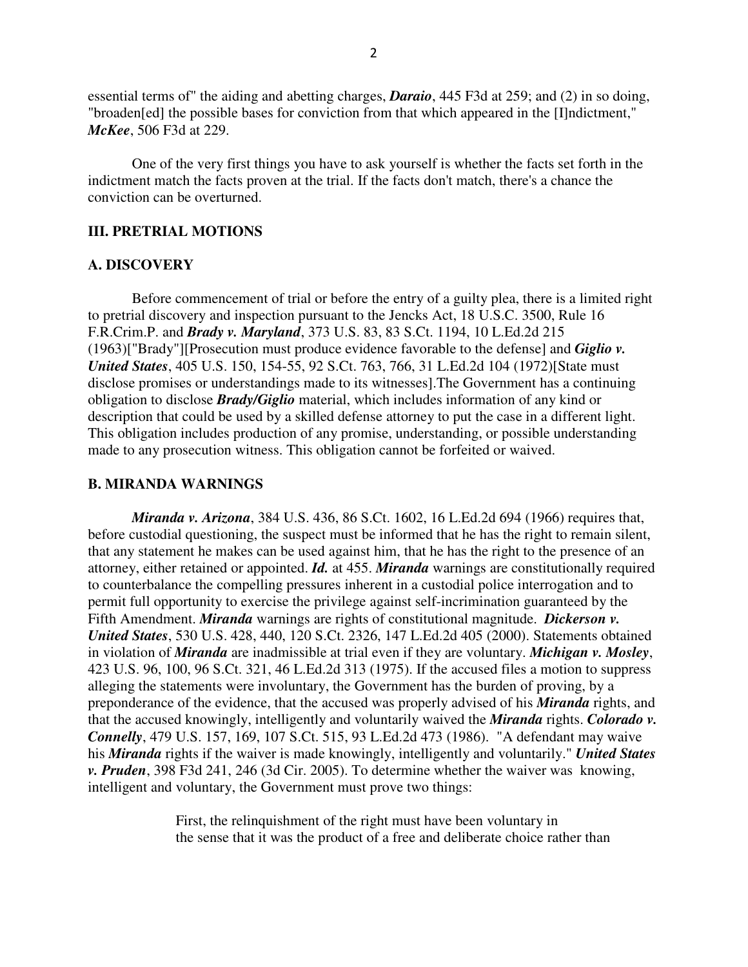essential terms of" the aiding and abetting charges, *Daraio*, 445 F3d at 259; and (2) in so doing, "broaden[ed] the possible bases for conviction from that which appeared in the [I]ndictment," *McKee*, 506 F3d at 229.

 One of the very first things you have to ask yourself is whether the facts set forth in the indictment match the facts proven at the trial. If the facts don't match, there's a chance the conviction can be overturned.

#### **III. PRETRIAL MOTIONS**

### **A. DISCOVERY**

 Before commencement of trial or before the entry of a guilty plea, there is a limited right to pretrial discovery and inspection pursuant to the Jencks Act, 18 U.S.C. 3500, Rule 16 F.R.Crim.P. and *Brady v. Maryland*, 373 U.S. 83, 83 S.Ct. 1194, 10 L.Ed.2d 215 (1963)["Brady"][Prosecution must produce evidence favorable to the defense] and *Giglio v. United States*, 405 U.S. 150, 154-55, 92 S.Ct. 763, 766, 31 L.Ed.2d 104 (1972)[State must disclose promises or understandings made to its witnesses].The Government has a continuing obligation to disclose *Brady/Giglio* material, which includes information of any kind or description that could be used by a skilled defense attorney to put the case in a different light. This obligation includes production of any promise, understanding, or possible understanding made to any prosecution witness. This obligation cannot be forfeited or waived.

#### **B. MIRANDA WARNINGS**

*Miranda v. Arizona*, 384 U.S. 436, 86 S.Ct. 1602, 16 L.Ed.2d 694 (1966) requires that, before custodial questioning, the suspect must be informed that he has the right to remain silent, that any statement he makes can be used against him, that he has the right to the presence of an attorney, either retained or appointed. *Id.* at 455. *Miranda* warnings are constitutionally required to counterbalance the compelling pressures inherent in a custodial police interrogation and to permit full opportunity to exercise the privilege against self-incrimination guaranteed by the Fifth Amendment. *Miranda* warnings are rights of constitutional magnitude. *Dickerson v. United States*, 530 U.S. 428, 440, 120 S.Ct. 2326, 147 L.Ed.2d 405 (2000). Statements obtained in violation of *Miranda* are inadmissible at trial even if they are voluntary. *Michigan v. Mosley*, 423 U.S. 96, 100, 96 S.Ct. 321, 46 L.Ed.2d 313 (1975). If the accused files a motion to suppress alleging the statements were involuntary, the Government has the burden of proving, by a preponderance of the evidence, that the accused was properly advised of his *Miranda* rights, and that the accused knowingly, intelligently and voluntarily waived the *Miranda* rights. *Colorado v. Connelly*, 479 U.S. 157, 169, 107 S.Ct. 515, 93 L.Ed.2d 473 (1986). "A defendant may waive his *Miranda* rights if the waiver is made knowingly, intelligently and voluntarily." *United States v. Pruden*, 398 F3d 241, 246 (3d Cir. 2005). To determine whether the waiver was knowing, intelligent and voluntary, the Government must prove two things:

> First, the relinquishment of the right must have been voluntary in the sense that it was the product of a free and deliberate choice rather than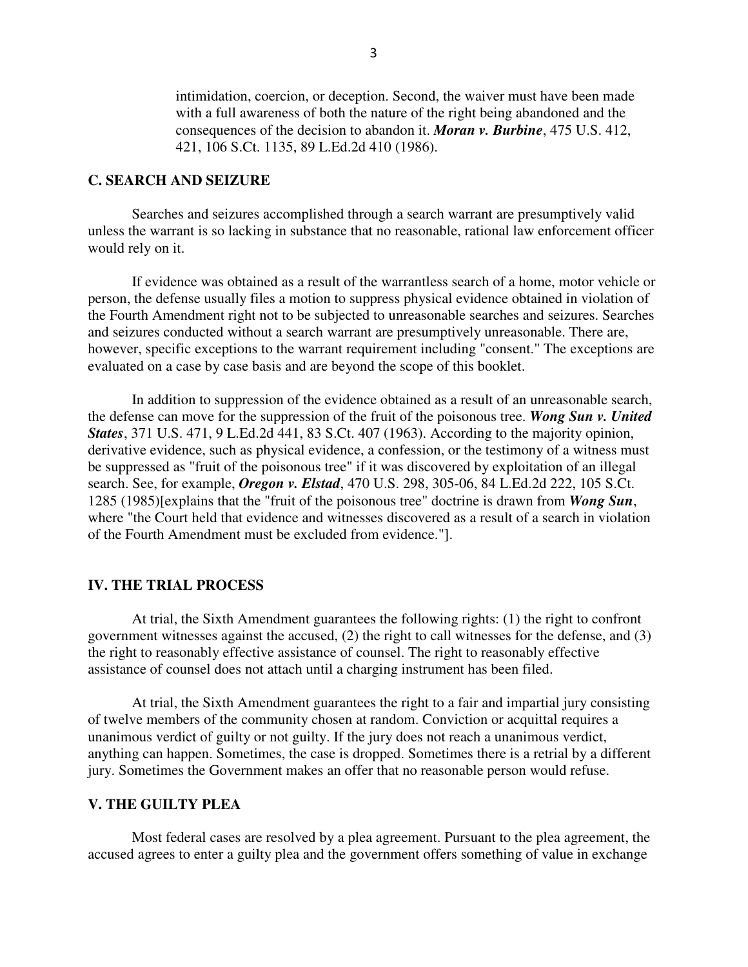intimidation, coercion, or deception. Second, the waiver must have been made with a full awareness of both the nature of the right being abandoned and the consequences of the decision to abandon it. *Moran v. Burbine*, 475 U.S. 412, 421, 106 S.Ct. 1135, 89 L.Ed.2d 410 (1986).

## **C. SEARCH AND SEIZURE**

 Searches and seizures accomplished through a search warrant are presumptively valid unless the warrant is so lacking in substance that no reasonable, rational law enforcement officer would rely on it.

 If evidence was obtained as a result of the warrantless search of a home, motor vehicle or person, the defense usually files a motion to suppress physical evidence obtained in violation of the Fourth Amendment right not to be subjected to unreasonable searches and seizures. Searches and seizures conducted without a search warrant are presumptively unreasonable. There are, however, specific exceptions to the warrant requirement including "consent." The exceptions are evaluated on a case by case basis and are beyond the scope of this booklet.

 In addition to suppression of the evidence obtained as a result of an unreasonable search, the defense can move for the suppression of the fruit of the poisonous tree. *Wong Sun v. United States*, 371 U.S. 471, 9 L.Ed.2d 441, 83 S.Ct. 407 (1963). According to the majority opinion, derivative evidence, such as physical evidence, a confession, or the testimony of a witness must be suppressed as "fruit of the poisonous tree" if it was discovered by exploitation of an illegal search. See, for example, *Oregon v. Elstad*, 470 U.S. 298, 305-06, 84 L.Ed.2d 222, 105 S.Ct. 1285 (1985)[explains that the "fruit of the poisonous tree" doctrine is drawn from *Wong Sun*, where "the Court held that evidence and witnesses discovered as a result of a search in violation of the Fourth Amendment must be excluded from evidence."].

## **IV. THE TRIAL PROCESS**

 At trial, the Sixth Amendment guarantees the following rights: (1) the right to confront government witnesses against the accused, (2) the right to call witnesses for the defense, and (3) the right to reasonably effective assistance of counsel. The right to reasonably effective assistance of counsel does not attach until a charging instrument has been filed.

 At trial, the Sixth Amendment guarantees the right to a fair and impartial jury consisting of twelve members of the community chosen at random. Conviction or acquittal requires a unanimous verdict of guilty or not guilty. If the jury does not reach a unanimous verdict, anything can happen. Sometimes, the case is dropped. Sometimes there is a retrial by a different jury. Sometimes the Government makes an offer that no reasonable person would refuse.

## **V. THE GUILTY PLEA**

 Most federal cases are resolved by a plea agreement. Pursuant to the plea agreement, the accused agrees to enter a guilty plea and the government offers something of value in exchange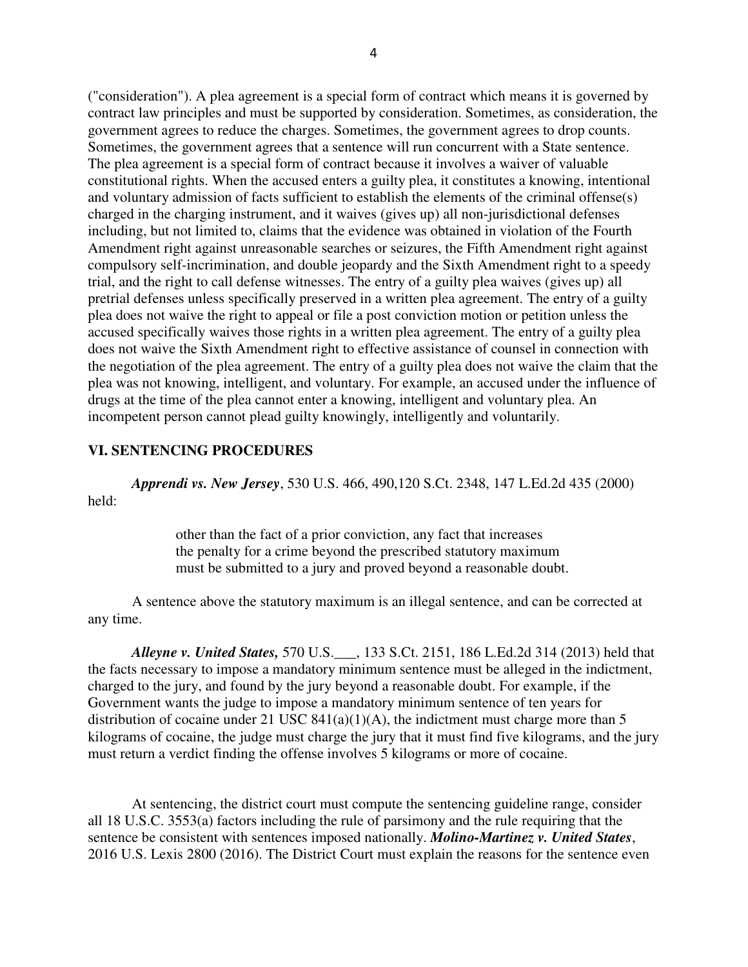("consideration"). A plea agreement is a special form of contract which means it is governed by contract law principles and must be supported by consideration. Sometimes, as consideration, the government agrees to reduce the charges. Sometimes, the government agrees to drop counts. Sometimes, the government agrees that a sentence will run concurrent with a State sentence. The plea agreement is a special form of contract because it involves a waiver of valuable constitutional rights. When the accused enters a guilty plea, it constitutes a knowing, intentional and voluntary admission of facts sufficient to establish the elements of the criminal offense(s) charged in the charging instrument, and it waives (gives up) all non-jurisdictional defenses including, but not limited to, claims that the evidence was obtained in violation of the Fourth Amendment right against unreasonable searches or seizures, the Fifth Amendment right against compulsory self-incrimination, and double jeopardy and the Sixth Amendment right to a speedy trial, and the right to call defense witnesses. The entry of a guilty plea waives (gives up) all pretrial defenses unless specifically preserved in a written plea agreement. The entry of a guilty plea does not waive the right to appeal or file a post conviction motion or petition unless the accused specifically waives those rights in a written plea agreement. The entry of a guilty plea does not waive the Sixth Amendment right to effective assistance of counsel in connection with the negotiation of the plea agreement. The entry of a guilty plea does not waive the claim that the plea was not knowing, intelligent, and voluntary. For example, an accused under the influence of drugs at the time of the plea cannot enter a knowing, intelligent and voluntary plea. An incompetent person cannot plead guilty knowingly, intelligently and voluntarily.

# **VI. SENTENCING PROCEDURES**

 *Apprendi vs. New Jersey*, 530 U.S. 466, 490,120 S.Ct. 2348, 147 L.Ed.2d 435 (2000) held:

> other than the fact of a prior conviction, any fact that increases the penalty for a crime beyond the prescribed statutory maximum must be submitted to a jury and proved beyond a reasonable doubt.

A sentence above the statutory maximum is an illegal sentence, and can be corrected at any time.

 *Alleyne v. United States,* 570 U.S.\_\_\_, 133 S.Ct. 2151, 186 L.Ed.2d 314 (2013) held that the facts necessary to impose a mandatory minimum sentence must be alleged in the indictment, charged to the jury, and found by the jury beyond a reasonable doubt. For example, if the Government wants the judge to impose a mandatory minimum sentence of ten years for distribution of cocaine under 21 USC  $841(a)(1)(A)$ , the indictment must charge more than 5 kilograms of cocaine, the judge must charge the jury that it must find five kilograms, and the jury must return a verdict finding the offense involves 5 kilograms or more of cocaine.

At sentencing, the district court must compute the sentencing guideline range, consider all 18 U.S.C. 3553(a) factors including the rule of parsimony and the rule requiring that the sentence be consistent with sentences imposed nationally. *Molino-Martinez v. United States*, 2016 U.S. Lexis 2800 (2016). The District Court must explain the reasons for the sentence even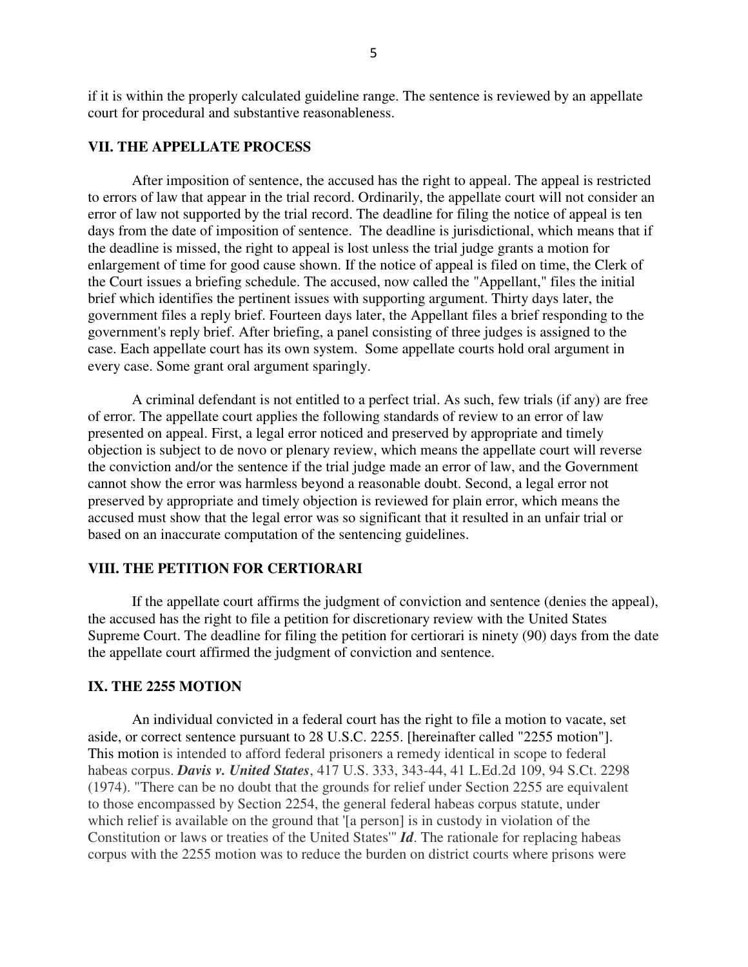if it is within the properly calculated guideline range. The sentence is reviewed by an appellate court for procedural and substantive reasonableness.

## **VII. THE APPELLATE PROCESS**

After imposition of sentence, the accused has the right to appeal. The appeal is restricted to errors of law that appear in the trial record. Ordinarily, the appellate court will not consider an error of law not supported by the trial record. The deadline for filing the notice of appeal is ten days from the date of imposition of sentence. The deadline is jurisdictional, which means that if the deadline is missed, the right to appeal is lost unless the trial judge grants a motion for enlargement of time for good cause shown. If the notice of appeal is filed on time, the Clerk of the Court issues a briefing schedule. The accused, now called the "Appellant," files the initial brief which identifies the pertinent issues with supporting argument. Thirty days later, the government files a reply brief. Fourteen days later, the Appellant files a brief responding to the government's reply brief. After briefing, a panel consisting of three judges is assigned to the case. Each appellate court has its own system. Some appellate courts hold oral argument in every case. Some grant oral argument sparingly.

A criminal defendant is not entitled to a perfect trial. As such, few trials (if any) are free of error. The appellate court applies the following standards of review to an error of law presented on appeal. First, a legal error noticed and preserved by appropriate and timely objection is subject to de novo or plenary review, which means the appellate court will reverse the conviction and/or the sentence if the trial judge made an error of law, and the Government cannot show the error was harmless beyond a reasonable doubt. Second, a legal error not preserved by appropriate and timely objection is reviewed for plain error, which means the accused must show that the legal error was so significant that it resulted in an unfair trial or based on an inaccurate computation of the sentencing guidelines.

### **VIII. THE PETITION FOR CERTIORARI**

If the appellate court affirms the judgment of conviction and sentence (denies the appeal), the accused has the right to file a petition for discretionary review with the United States Supreme Court. The deadline for filing the petition for certiorari is ninety (90) days from the date the appellate court affirmed the judgment of conviction and sentence.

## **IX. THE 2255 MOTION**

 An individual convicted in a federal court has the right to file a motion to vacate, set aside, or correct sentence pursuant to 28 U.S.C. 2255. [hereinafter called "2255 motion"]. This motion is intended to afford federal prisoners a remedy identical in scope to federal habeas corpus. *Davis v. United States*, 417 U.S. 333, 343-44, 41 L.Ed.2d 109, 94 S.Ct. 2298 (1974). "There can be no doubt that the grounds for relief under Section 2255 are equivalent to those encompassed by Section 2254, the general federal habeas corpus statute, under which relief is available on the ground that '[a person] is in custody in violation of the Constitution or laws or treaties of the United States'" *Id*. The rationale for replacing habeas corpus with the 2255 motion was to reduce the burden on district courts where prisons were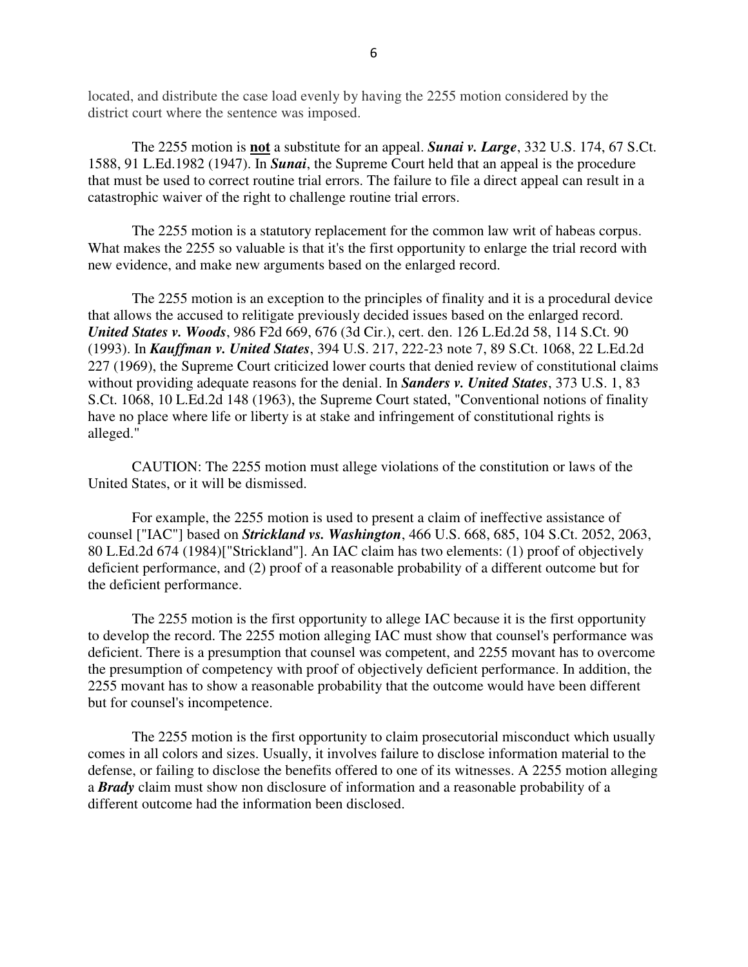located, and distribute the case load evenly by having the 2255 motion considered by the district court where the sentence was imposed.

 The 2255 motion is **not** a substitute for an appeal. *Sunai v. Large*, 332 U.S. 174, 67 S.Ct. 1588, 91 L.Ed.1982 (1947). In *Sunai*, the Supreme Court held that an appeal is the procedure that must be used to correct routine trial errors. The failure to file a direct appeal can result in a catastrophic waiver of the right to challenge routine trial errors.

 The 2255 motion is a statutory replacement for the common law writ of habeas corpus. What makes the 2255 so valuable is that it's the first opportunity to enlarge the trial record with new evidence, and make new arguments based on the enlarged record.

 The 2255 motion is an exception to the principles of finality and it is a procedural device that allows the accused to relitigate previously decided issues based on the enlarged record. *United States v. Woods*, 986 F2d 669, 676 (3d Cir.), cert. den. 126 L.Ed.2d 58, 114 S.Ct. 90 (1993). In *Kauffman v. United States*, 394 U.S. 217, 222-23 note 7, 89 S.Ct. 1068, 22 L.Ed.2d 227 (1969), the Supreme Court criticized lower courts that denied review of constitutional claims without providing adequate reasons for the denial. In *Sanders v. United States*, 373 U.S. 1, 83 S.Ct. 1068, 10 L.Ed.2d 148 (1963), the Supreme Court stated, "Conventional notions of finality have no place where life or liberty is at stake and infringement of constitutional rights is alleged."

CAUTION: The 2255 motion must allege violations of the constitution or laws of the United States, or it will be dismissed.

For example, the 2255 motion is used to present a claim of ineffective assistance of counsel ["IAC"] based on *Strickland vs. Washington*, 466 U.S. 668, 685, 104 S.Ct. 2052, 2063, 80 L.Ed.2d 674 (1984)["Strickland"]. An IAC claim has two elements: (1) proof of objectively deficient performance, and (2) proof of a reasonable probability of a different outcome but for the deficient performance.

The 2255 motion is the first opportunity to allege IAC because it is the first opportunity to develop the record. The 2255 motion alleging IAC must show that counsel's performance was deficient. There is a presumption that counsel was competent, and 2255 movant has to overcome the presumption of competency with proof of objectively deficient performance. In addition, the 2255 movant has to show a reasonable probability that the outcome would have been different but for counsel's incompetence.

The 2255 motion is the first opportunity to claim prosecutorial misconduct which usually comes in all colors and sizes. Usually, it involves failure to disclose information material to the defense, or failing to disclose the benefits offered to one of its witnesses. A 2255 motion alleging a *Brady* claim must show non disclosure of information and a reasonable probability of a different outcome had the information been disclosed.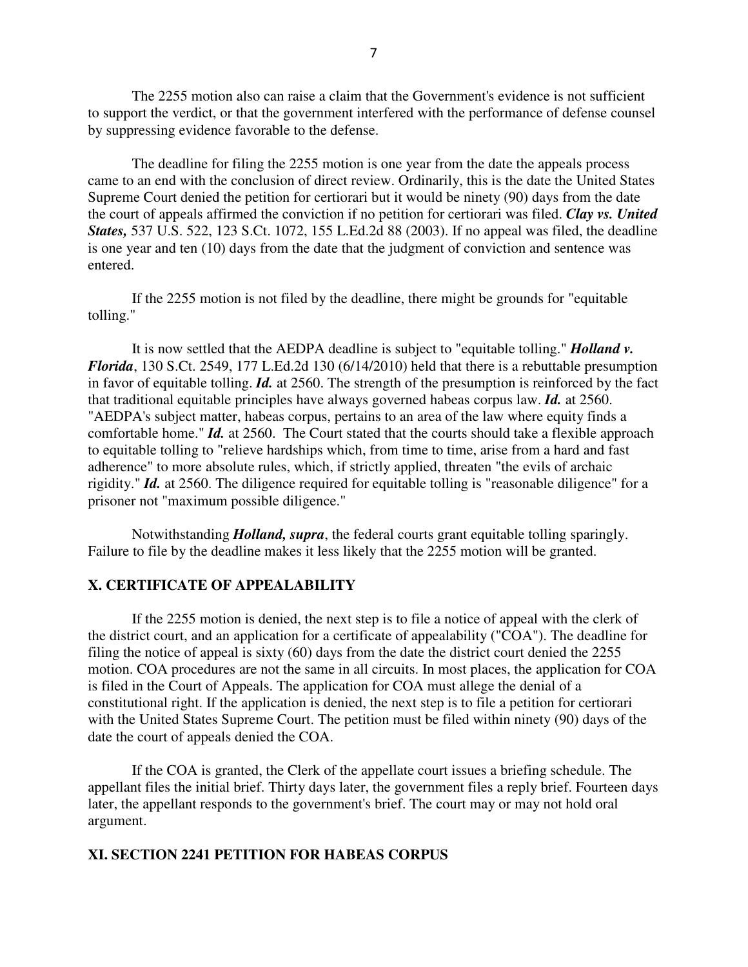The 2255 motion also can raise a claim that the Government's evidence is not sufficient to support the verdict, or that the government interfered with the performance of defense counsel by suppressing evidence favorable to the defense.

The deadline for filing the 2255 motion is one year from the date the appeals process came to an end with the conclusion of direct review. Ordinarily, this is the date the United States Supreme Court denied the petition for certiorari but it would be ninety (90) days from the date the court of appeals affirmed the conviction if no petition for certiorari was filed. *Clay vs. United States,* 537 U.S. 522, 123 S.Ct. 1072, 155 L.Ed.2d 88 (2003). If no appeal was filed, the deadline is one year and ten (10) days from the date that the judgment of conviction and sentence was entered.

If the 2255 motion is not filed by the deadline, there might be grounds for "equitable tolling."

 It is now settled that the AEDPA deadline is subject to "equitable tolling." *Holland v. Florida*, 130 S.Ct. 2549, 177 L.Ed.2d 130 (6/14/2010) held that there is a rebuttable presumption in favor of equitable tolling. *Id.* at 2560. The strength of the presumption is reinforced by the fact that traditional equitable principles have always governed habeas corpus law. *Id.* at 2560. "AEDPA's subject matter, habeas corpus, pertains to an area of the law where equity finds a comfortable home." *Id.* at 2560. The Court stated that the courts should take a flexible approach to equitable tolling to "relieve hardships which, from time to time, arise from a hard and fast adherence" to more absolute rules, which, if strictly applied, threaten "the evils of archaic rigidity." *Id.* at 2560. The diligence required for equitable tolling is "reasonable diligence" for a prisoner not "maximum possible diligence."

 Notwithstanding *Holland, supra*, the federal courts grant equitable tolling sparingly. Failure to file by the deadline makes it less likely that the 2255 motion will be granted.

## **X. CERTIFICATE OF APPEALABILITY**

 If the 2255 motion is denied, the next step is to file a notice of appeal with the clerk of the district court, and an application for a certificate of appealability ("COA"). The deadline for filing the notice of appeal is sixty (60) days from the date the district court denied the 2255 motion. COA procedures are not the same in all circuits. In most places, the application for COA is filed in the Court of Appeals. The application for COA must allege the denial of a constitutional right. If the application is denied, the next step is to file a petition for certiorari with the United States Supreme Court. The petition must be filed within ninety (90) days of the date the court of appeals denied the COA.

 If the COA is granted, the Clerk of the appellate court issues a briefing schedule. The appellant files the initial brief. Thirty days later, the government files a reply brief. Fourteen days later, the appellant responds to the government's brief. The court may or may not hold oral argument.

### **XI. SECTION 2241 PETITION FOR HABEAS CORPUS**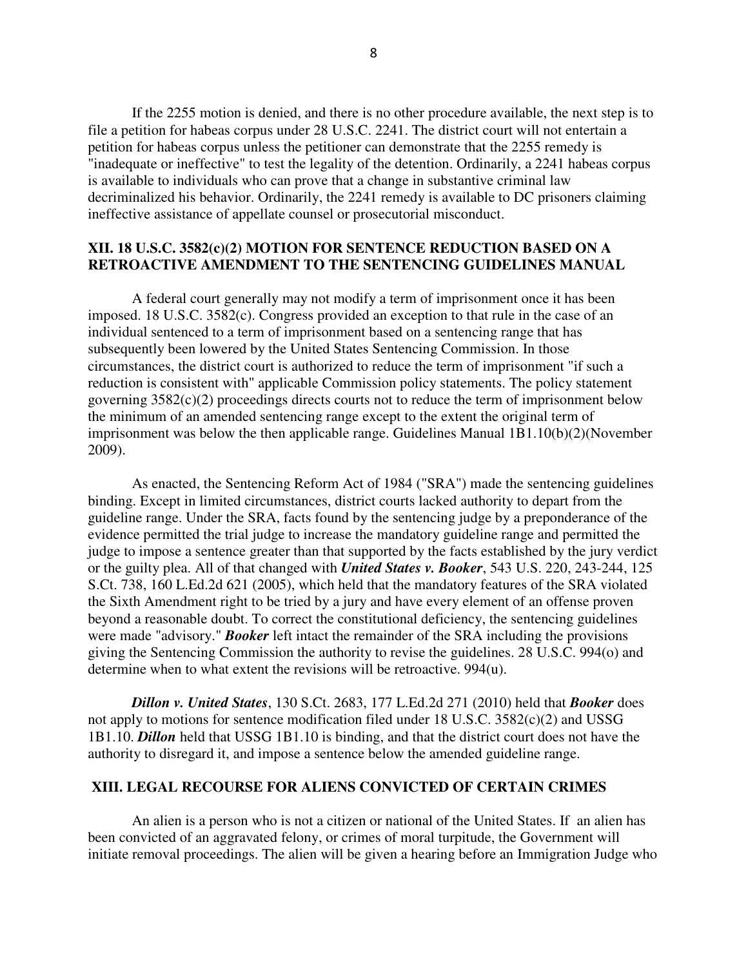If the 2255 motion is denied, and there is no other procedure available, the next step is to file a petition for habeas corpus under 28 U.S.C. 2241. The district court will not entertain a petition for habeas corpus unless the petitioner can demonstrate that the 2255 remedy is "inadequate or ineffective" to test the legality of the detention. Ordinarily, a 2241 habeas corpus is available to individuals who can prove that a change in substantive criminal law decriminalized his behavior. Ordinarily, the 2241 remedy is available to DC prisoners claiming ineffective assistance of appellate counsel or prosecutorial misconduct.

## **XII. 18 U.S.C. 3582(c)(2) MOTION FOR SENTENCE REDUCTION BASED ON A RETROACTIVE AMENDMENT TO THE SENTENCING GUIDELINES MANUAL**

 A federal court generally may not modify a term of imprisonment once it has been imposed. 18 U.S.C. 3582(c). Congress provided an exception to that rule in the case of an individual sentenced to a term of imprisonment based on a sentencing range that has subsequently been lowered by the United States Sentencing Commission. In those circumstances, the district court is authorized to reduce the term of imprisonment "if such a reduction is consistent with" applicable Commission policy statements. The policy statement governing 3582(c)(2) proceedings directs courts not to reduce the term of imprisonment below the minimum of an amended sentencing range except to the extent the original term of imprisonment was below the then applicable range. Guidelines Manual 1B1.10(b)(2)(November 2009).

 As enacted, the Sentencing Reform Act of 1984 ("SRA") made the sentencing guidelines binding. Except in limited circumstances, district courts lacked authority to depart from the guideline range. Under the SRA, facts found by the sentencing judge by a preponderance of the evidence permitted the trial judge to increase the mandatory guideline range and permitted the judge to impose a sentence greater than that supported by the facts established by the jury verdict or the guilty plea. All of that changed with *United States v. Booker*, 543 U.S. 220, 243-244, 125 S.Ct. 738, 160 L.Ed.2d 621 (2005), which held that the mandatory features of the SRA violated the Sixth Amendment right to be tried by a jury and have every element of an offense proven beyond a reasonable doubt. To correct the constitutional deficiency, the sentencing guidelines were made "advisory." *Booker* left intact the remainder of the SRA including the provisions giving the Sentencing Commission the authority to revise the guidelines. 28 U.S.C. 994(o) and determine when to what extent the revisions will be retroactive. 994(u).

*Dillon v. United States*, 130 S.Ct. 2683, 177 L.Ed.2d 271 (2010) held that *Booker* does not apply to motions for sentence modification filed under 18 U.S.C. 3582(c)(2) and USSG 1B1.10. *Dillon* held that USSG 1B1.10 is binding, and that the district court does not have the authority to disregard it, and impose a sentence below the amended guideline range.

# **XIII. LEGAL RECOURSE FOR ALIENS CONVICTED OF CERTAIN CRIMES**

 An alien is a person who is not a citizen or national of the United States. If an alien has been convicted of an aggravated felony, or crimes of moral turpitude, the Government will initiate removal proceedings. The alien will be given a hearing before an Immigration Judge who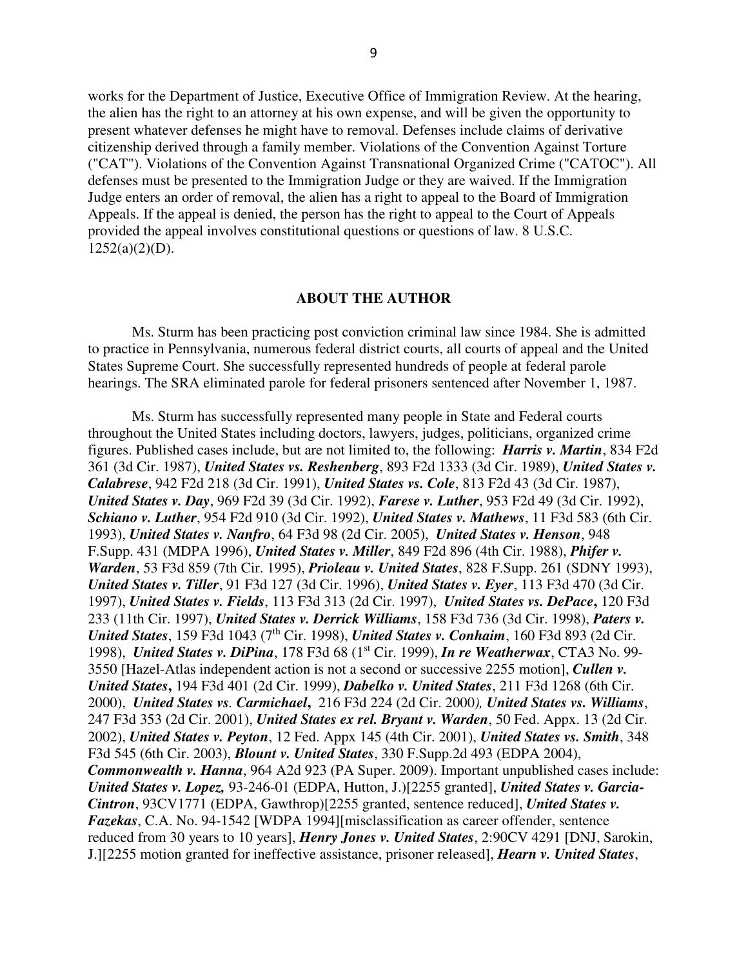works for the Department of Justice, Executive Office of Immigration Review. At the hearing, the alien has the right to an attorney at his own expense, and will be given the opportunity to present whatever defenses he might have to removal. Defenses include claims of derivative citizenship derived through a family member. Violations of the Convention Against Torture ("CAT"). Violations of the Convention Against Transnational Organized Crime ("CATOC"). All defenses must be presented to the Immigration Judge or they are waived. If the Immigration Judge enters an order of removal, the alien has a right to appeal to the Board of Immigration Appeals. If the appeal is denied, the person has the right to appeal to the Court of Appeals provided the appeal involves constitutional questions or questions of law. 8 U.S.C.  $1252(a)(2)(D)$ .

#### **ABOUT THE AUTHOR**

 Ms. Sturm has been practicing post conviction criminal law since 1984. She is admitted to practice in Pennsylvania, numerous federal district courts, all courts of appeal and the United States Supreme Court. She successfully represented hundreds of people at federal parole hearings. The SRA eliminated parole for federal prisoners sentenced after November 1, 1987.

 Ms. Sturm has successfully represented many people in State and Federal courts throughout the United States including doctors, lawyers, judges, politicians, organized crime figures. Published cases include, but are not limited to, the following: *Harris v. Martin*, 834 F2d 361 (3d Cir. 1987), *United States vs. Reshenberg*, 893 F2d 1333 (3d Cir. 1989), *United States v. Calabrese*, 942 F2d 218 (3d Cir. 1991), *United States vs. Cole*, 813 F2d 43 (3d Cir. 1987), *United States v. Day*, 969 F2d 39 (3d Cir. 1992), *Farese v. Luther*, 953 F2d 49 (3d Cir. 1992), *Schiano v. Luther*, 954 F2d 910 (3d Cir. 1992), *United States v. Mathews*, 11 F3d 583 (6th Cir. 1993), *United States v. Nanfro*, 64 F3d 98 (2d Cir. 2005), *United States v. Henson*, 948 F.Supp. 431 (MDPA 1996), *United States v. Miller*, 849 F2d 896 (4th Cir. 1988), *Phifer v. Warden*, 53 F3d 859 (7th Cir. 1995), *Prioleau v. United States*, 828 F.Supp. 261 (SDNY 1993), *United States v. Tiller*, 91 F3d 127 (3d Cir. 1996), *United States v. Eyer*, 113 F3d 470 (3d Cir. 1997), *United States v. Fields*, 113 F3d 313 (2d Cir. 1997), *United States vs. DePace***,** 120 F3d 233 (11th Cir. 1997), *United States v. Derrick Williams*, 158 F3d 736 (3d Cir. 1998), *Paters v. United States*, 159 F3d 1043 (7<sup>th</sup> Cir. 1998), *United States v. Conhaim*, 160 F3d 893 (2d Cir. 1998), *United States v. DiPina*, 178 F3d 68 (1st Cir. 1999), *In re Weatherwax*, CTA3 No. 99- 3550 [Hazel-Atlas independent action is not a second or successive 2255 motion], *Cullen v. United States***,** 194 F3d 401 (2d Cir. 1999), *Dabelko v. United States*, 211 F3d 1268 (6th Cir. 2000), *United States vs. Carmichael***,** 216 F3d 224 (2d Cir. 2000*), United States vs. Williams*, 247 F3d 353 (2d Cir. 2001), *United States ex rel. Bryant v. Warden*, 50 Fed. Appx. 13 (2d Cir. 2002), *United States v. Peyton*, 12 Fed. Appx 145 (4th Cir. 2001), *United States vs. Smith*, 348 F3d 545 (6th Cir. 2003), *Blount v. United States*, 330 F.Supp.2d 493 (EDPA 2004), *Commonwealth v. Hanna*, 964 A2d 923 (PA Super. 2009). Important unpublished cases include: *United States v. Lopez,* 93-246-01 (EDPA, Hutton, J.)[2255 granted], *United States v. Garcia-Cintron*, 93CV1771 (EDPA, Gawthrop)[2255 granted, sentence reduced], *United States v. Fazekas*, C.A. No. 94-1542 [WDPA 1994][misclassification as career offender, sentence reduced from 30 years to 10 years], *Henry Jones v. United States*, 2:90CV 4291 [DNJ, Sarokin, J.][2255 motion granted for ineffective assistance, prisoner released], *Hearn v. United States*,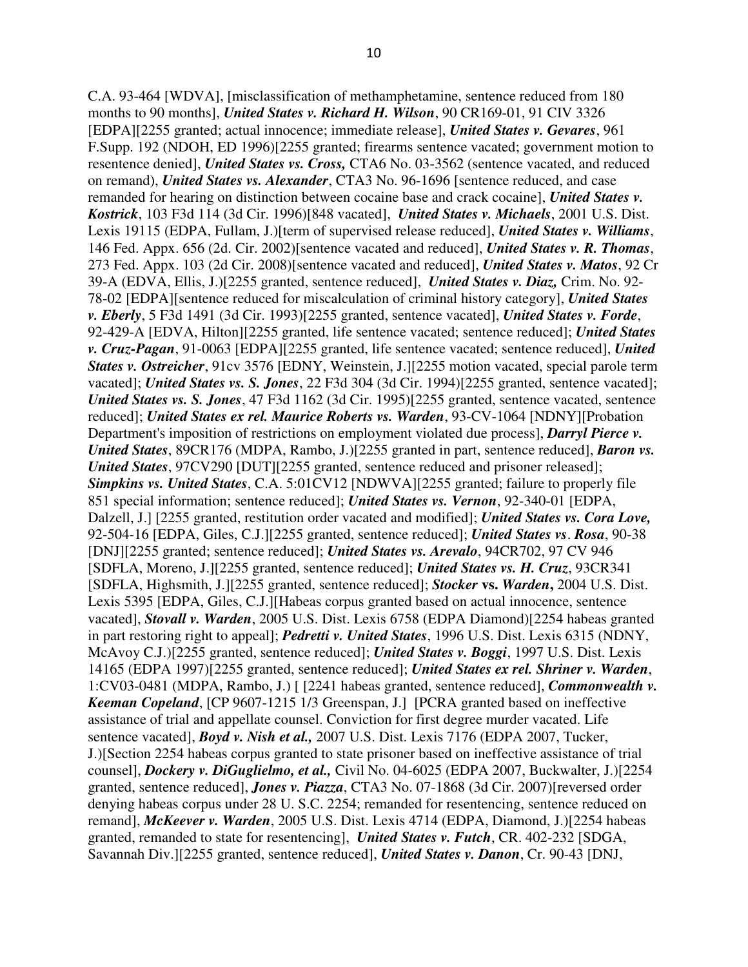C.A. 93-464 [WDVA], [misclassification of methamphetamine, sentence reduced from 180 months to 90 months], *United States v. Richard H. Wilson*, 90 CR169-01, 91 CIV 3326 [EDPA][2255 granted; actual innocence; immediate release], *United States v. Gevares*, 961 F.Supp. 192 (NDOH, ED 1996)[2255 granted; firearms sentence vacated; government motion to resentence denied], *United States vs. Cross,* CTA6 No. 03-3562 (sentence vacated, and reduced on remand), *United States vs. Alexander*, CTA3 No. 96-1696 [sentence reduced, and case remanded for hearing on distinction between cocaine base and crack cocaine], *United States v. Kostrick*, 103 F3d 114 (3d Cir. 1996)[848 vacated], *United States v. Michaels*, 2001 U.S. Dist. Lexis 19115 (EDPA, Fullam, J.)[term of supervised release reduced], *United States v. Williams*, 146 Fed. Appx. 656 (2d. Cir. 2002)[sentence vacated and reduced], *United States v. R. Thomas*, 273 Fed. Appx. 103 (2d Cir. 2008)[sentence vacated and reduced], *United States v. Matos*, 92 Cr 39-A (EDVA, Ellis, J.)[2255 granted, sentence reduced], *United States v. Diaz,* Crim. No. 92- 78-02 [EDPA][sentence reduced for miscalculation of criminal history category], *United States v. Eberly*, 5 F3d 1491 (3d Cir. 1993)[2255 granted, sentence vacated], *United States v. Forde*, 92-429-A [EDVA, Hilton][2255 granted, life sentence vacated; sentence reduced]; *United States v. Cruz-Pagan*, 91-0063 [EDPA][2255 granted, life sentence vacated; sentence reduced], *United States v. Ostreicher*, 91cv 3576 [EDNY, Weinstein, J.][2255 motion vacated, special parole term vacated]; *United States vs. S. Jones*, 22 F3d 304 (3d Cir. 1994)[2255 granted, sentence vacated]; *United States vs. S. Jones*, 47 F3d 1162 (3d Cir. 1995)[2255 granted, sentence vacated, sentence reduced]; *United States ex rel. Maurice Roberts vs. Warden*, 93-CV-1064 [NDNY][Probation Department's imposition of restrictions on employment violated due process], *Darryl Pierce v. United States*, 89CR176 (MDPA, Rambo, J.)[2255 granted in part, sentence reduced], *Baron vs. United States*, 97CV290 [DUT][2255 granted, sentence reduced and prisoner released]; *Simpkins vs. United States*, C.A. 5:01CV12 [NDWVA][2255 granted; failure to properly file 851 special information; sentence reduced]; *United States vs. Vernon*, 92-340-01 [EDPA, Dalzell, J.] [2255 granted, restitution order vacated and modified]; *United States vs. Cora Love,* 92-504-16 [EDPA, Giles, C.J.][2255 granted, sentence reduced]; *United States vs*. *Rosa*, 90-38 [DNJ][2255 granted; sentence reduced]; *United States vs. Arevalo*, 94CR702, 97 CV 946 [SDFLA, Moreno, J.][2255 granted, sentence reduced]; *United States vs. H. Cruz*, 93CR341 [SDFLA, Highsmith, J.][2255 granted, sentence reduced]; *Stocker* **vs.** *Warden***,** 2004 U.S. Dist. Lexis 5395 [EDPA, Giles, C.J.][Habeas corpus granted based on actual innocence, sentence vacated], *Stovall v. Warden*, 2005 U.S. Dist. Lexis 6758 (EDPA Diamond)[2254 habeas granted in part restoring right to appeal]; *Pedretti v. United States*, 1996 U.S. Dist. Lexis 6315 (NDNY, McAvoy C.J.)[2255 granted, sentence reduced]; *United States v. Boggi*, 1997 U.S. Dist. Lexis 14165 (EDPA 1997)[2255 granted, sentence reduced]; *United States ex rel. Shriner v. Warden*, 1:CV03-0481 (MDPA, Rambo, J.) [ [2241 habeas granted, sentence reduced], *Commonwealth v. Keeman Copeland*, [CP 9607-1215 1/3 Greenspan, J.][PCRA granted based on ineffective assistance of trial and appellate counsel. Conviction for first degree murder vacated. Life sentence vacated], *Boyd v. Nish et al.,* 2007 U.S. Dist. Lexis 7176 (EDPA 2007, Tucker, J.)[Section 2254 habeas corpus granted to state prisoner based on ineffective assistance of trial counsel], *Dockery v. DiGuglielmo, et al.,* Civil No. 04-6025 (EDPA 2007, Buckwalter, J.)[2254 granted, sentence reduced], *Jones v. Piazza*, CTA3 No. 07-1868 (3d Cir. 2007)[reversed order denying habeas corpus under 28 U. S.C. 2254; remanded for resentencing, sentence reduced on remand], *McKeever v. Warden*, 2005 U.S. Dist. Lexis 4714 (EDPA, Diamond, J.)[2254 habeas granted, remanded to state for resentencing], *United States v. Futch*, CR. 402-232 [SDGA,

Savannah Div.][2255 granted, sentence reduced], *United States v. Danon*, Cr. 90-43 [DNJ,